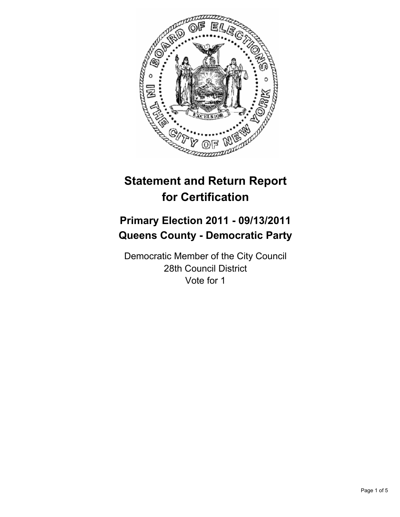

# **Statement and Return Report for Certification**

## **Primary Election 2011 - 09/13/2011 Queens County - Democratic Party**

Democratic Member of the City Council 28th Council District Vote for 1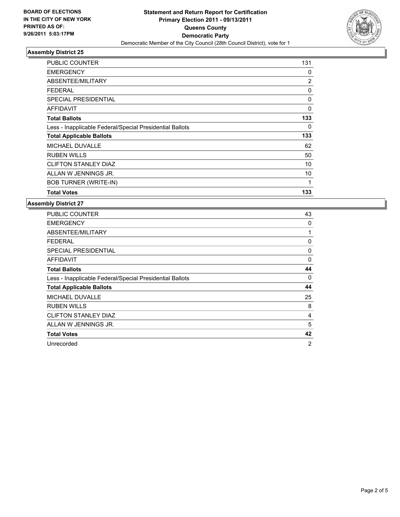

### **Assembly District 25**

| <b>PUBLIC COUNTER</b>                                    | 131            |
|----------------------------------------------------------|----------------|
| <b>EMERGENCY</b>                                         | 0              |
| ABSENTEE/MILITARY                                        | $\overline{2}$ |
| <b>FEDERAL</b>                                           | 0              |
| <b>SPECIAL PRESIDENTIAL</b>                              | 0              |
| AFFIDAVIT                                                | 0              |
| <b>Total Ballots</b>                                     | 133            |
| Less - Inapplicable Federal/Special Presidential Ballots | 0              |
| <b>Total Applicable Ballots</b>                          | 133            |
| <b>MICHAEL DUVALLE</b>                                   | 62             |
| <b>RUBEN WILLS</b>                                       | 50             |
| <b>CLIFTON STANLEY DIAZ</b>                              | 10             |
| ALLAN W JENNINGS JR.                                     | 10             |
| <b>BOB TURNER (WRITE-IN)</b>                             | 1              |
| <b>Total Votes</b>                                       | 133            |

## **Assembly District 27**

| <b>PUBLIC COUNTER</b>                                    | 43       |
|----------------------------------------------------------|----------|
| <b>EMERGENCY</b>                                         | 0        |
| ABSENTEE/MILITARY                                        | 1        |
| <b>FEDERAL</b>                                           | 0        |
| <b>SPECIAL PRESIDENTIAL</b>                              | 0        |
| <b>AFFIDAVIT</b>                                         | $\Omega$ |
| <b>Total Ballots</b>                                     | 44       |
| Less - Inapplicable Federal/Special Presidential Ballots | 0        |
| <b>Total Applicable Ballots</b>                          | 44       |
| <b>MICHAEL DUVALLE</b>                                   | 25       |
| <b>RUBEN WILLS</b>                                       | 8        |
| <b>CLIFTON STANLEY DIAZ</b>                              | 4        |
| ALLAN W JENNINGS JR.                                     | 5        |
| <b>Total Votes</b>                                       | 42       |
| Unrecorded                                               | 2        |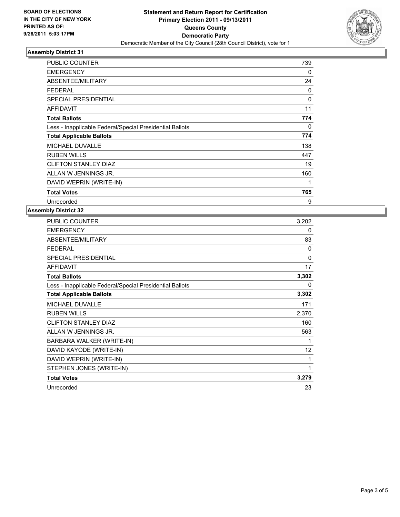

## **Assembly District 31**

| <b>PUBLIC COUNTER</b>                                    | 739          |
|----------------------------------------------------------|--------------|
| <b>EMERGENCY</b>                                         | 0            |
| ABSENTEE/MILITARY                                        | 24           |
| <b>FEDERAL</b>                                           | 0            |
| <b>SPECIAL PRESIDENTIAL</b>                              | $\mathbf{0}$ |
| <b>AFFIDAVIT</b>                                         | 11           |
| <b>Total Ballots</b>                                     | 774          |
| Less - Inapplicable Federal/Special Presidential Ballots | 0            |
| <b>Total Applicable Ballots</b>                          | 774          |
| <b>MICHAEL DUVALLE</b>                                   | 138          |
| <b>RUBEN WILLS</b>                                       | 447          |
| <b>CLIFTON STANLEY DIAZ</b>                              | 19           |
| ALLAN W JENNINGS JR.                                     | 160          |
| DAVID WEPRIN (WRITE-IN)                                  | 1            |
| <b>Total Votes</b>                                       | 765          |
| Unrecorded                                               | 9            |

#### **Assembly District 32**

| PUBLIC COUNTER                                           | 3,202 |
|----------------------------------------------------------|-------|
| <b>EMERGENCY</b>                                         | 0     |
| ABSENTEE/MILITARY                                        | 83    |
| <b>FEDERAL</b>                                           | 0     |
| <b>SPECIAL PRESIDENTIAL</b>                              | 0     |
| <b>AFFIDAVIT</b>                                         | 17    |
| <b>Total Ballots</b>                                     | 3,302 |
| Less - Inapplicable Federal/Special Presidential Ballots | 0     |
| <b>Total Applicable Ballots</b>                          | 3,302 |
| <b>MICHAEL DUVALLE</b>                                   | 171   |
| <b>RUBEN WILLS</b>                                       | 2,370 |
| <b>CLIFTON STANLEY DIAZ</b>                              | 160   |
| ALLAN W JENNINGS JR.                                     | 563   |
| BARBARA WALKER (WRITE-IN)                                | 1     |
| DAVID KAYODE (WRITE-IN)                                  | 12    |
| DAVID WEPRIN (WRITE-IN)                                  | 1     |
| STEPHEN JONES (WRITE-IN)                                 | 1     |
| <b>Total Votes</b>                                       | 3,279 |
| Unrecorded                                               | 23    |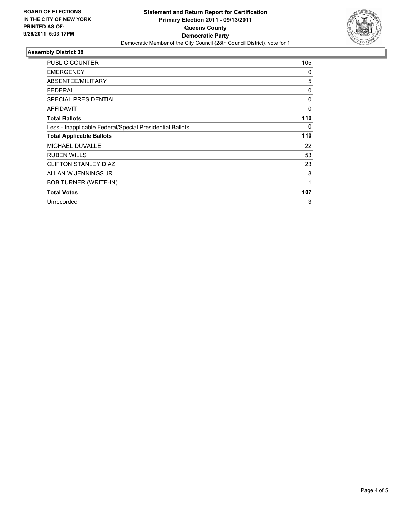

### **Assembly District 38**

| <b>PUBLIC COUNTER</b>                                    | 105      |
|----------------------------------------------------------|----------|
| <b>EMERGENCY</b>                                         | 0        |
| ABSENTEE/MILITARY                                        | 5        |
| <b>FEDERAL</b>                                           | 0        |
| <b>SPECIAL PRESIDENTIAL</b>                              | 0        |
| <b>AFFIDAVIT</b>                                         | $\Omega$ |
| <b>Total Ballots</b>                                     | 110      |
| Less - Inapplicable Federal/Special Presidential Ballots | 0        |
| <b>Total Applicable Ballots</b>                          | 110      |
| <b>MICHAEL DUVALLE</b>                                   | 22       |
| <b>RUBEN WILLS</b>                                       | 53       |
| <b>CLIFTON STANLEY DIAZ</b>                              | 23       |
| ALLAN W JENNINGS JR.                                     | 8        |
| <b>BOB TURNER (WRITE-IN)</b>                             | 1        |
| <b>Total Votes</b>                                       | 107      |
| Unrecorded                                               | 3        |